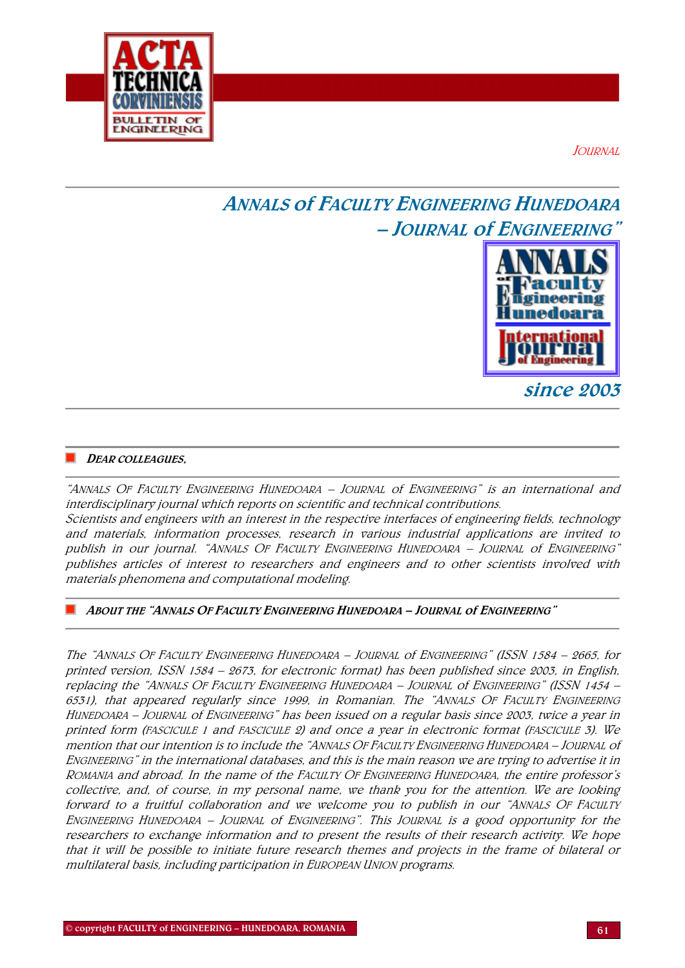

**JOURNAL** 

# ANNALS of FACULTY ENGINEERING HUNEDOARA – JOURNAL of ENGINEERING"



# since 2003

## DEAR COLLEAGUES,

"ANNALS OF FACULTY ENGINEERING HUNEDOARA – JOURNAL of ENGINEERING" is an international and interdisciplinary journal which reports on scientific and technical contributions. Scientists and engineers with an interest in the respective interfaces of engineering fields, technology and materials, information processes, research in various industrial applications are invited to publish in our journal. "ANNALS OF FACULTY ENGINEERING HUNEDOARA – JOURNAL of ENGINEERING" publishes articles of interest to researchers and engineers and to other scientists involved with materials phenomena and computational modeling.

## ABOUT THE "ANNALS OF FACULTY ENGINEERING HUNEDOARA – JOURNAL of ENGINEERING"

The "ANNALS OF FACULTY ENGINEERING HUNEDOARA – JOURNAL of ENGINEERING" (ISSN 1584 – 2665, for printed version, ISSN 1584 – 2673, for electronic format) has been published since 2003, in English, replacing the "ANNALS OF FACULTY ENGINEERING HUNEDOARA – JOURNAL of ENGINEERING" (ISSN 1454 – 6531), that appeared regularly since 1999, in Romanian. The "ANNALS OF FACULTY ENGINEERING HUNEDOARA – JOURNAL of ENGINEERING" has been issued on a regular basis since 2003, twice a year in printed form (FASCICULE 1 and FASCICULE 2) and once a year in electronic format (FASCICULE 3). We mention that our intention is to include the "ANNALS OF FACULTY ENGINEERING HUNEDOARA – JOURNAL of ENGINEERING" in the international databases, and this is the main reason we are trying to advertise it in ROMANIA and abroad. In the name of the FACULTY OF ENGINEERING HUNEDOARA, the entire professor's collective, and, of course, in my personal name, we thank you for the attention. We are looking forward to a fruitful collaboration and we welcome you to publish in our "ANNALS OF FACULTY ENGINEERING HUNEDOARA – JOURNAL of ENGINEERING". This JOURNAL is a good opportunity for the researchers to exchange information and to present the results of their research activity. We hope that it will be possible to initiate future research themes and projects in the frame of bilateral or multilateral basis, including participation in EUROPEAN UNION programs.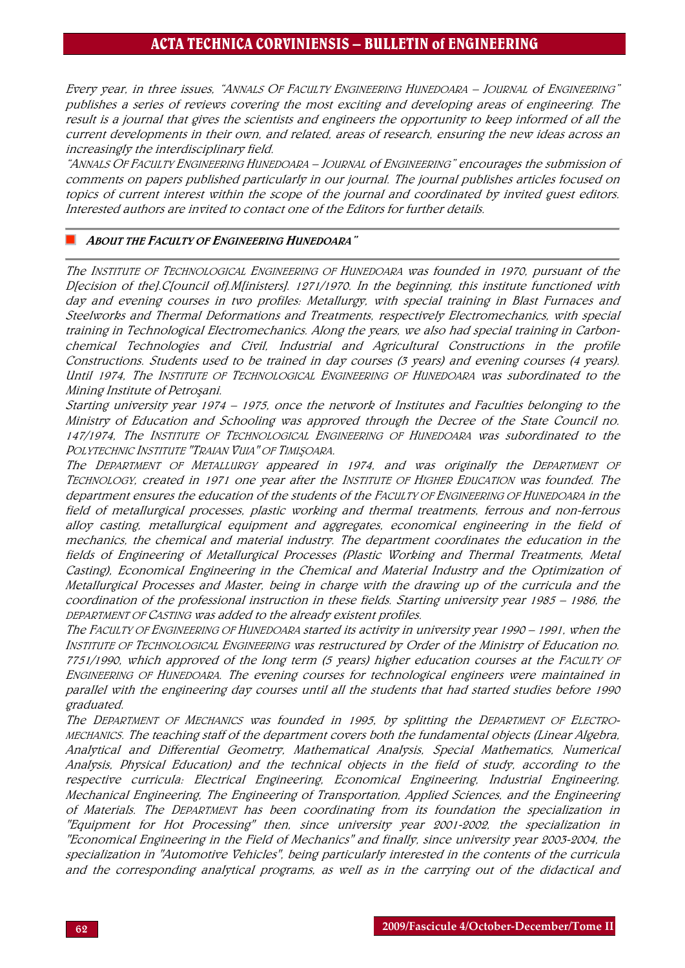# ACTA TECHNICA CORVINIENSIS – BULLETIN of ENGINEERING

Every year, in three issues, "ANNALS OF FACULTY ENGINEERING HUNEDOARA – JOURNAL of ENGINEERING" publishes a series of reviews covering the most exciting and developing areas of engineering. The result is a journal that gives the scientists and engineers the opportunity to keep informed of all the current developments in their own, and related, areas of research, ensuring the new ideas across an increasingly the interdisciplinary field.

"ANNALS OF FACULTY ENGINEERING HUNEDOARA – JOURNAL of ENGINEERING" encourages the submission of comments on papers published particularly in our journal. The journal publishes articles focused on topics of current interest within the scope of the journal and coordinated by invited guest editors. Interested authors are invited to contact one of the Editors for further details.

#### ABOUT THE FACULTY OF ENGINEERING HUNEDOARA"

The INSTITUTE OF TECHNOLOGICAL ENGINEERING OF HUNEDOARA was founded in 1970, pursuant of the D[ecision of the].C[ouncil of].M[inisters]. 1271/1970. In the beginning, this institute functioned with day and evening courses in two profiles: Metallurgy, with special training in Blast Furnaces and Steelworks and Thermal Deformations and Treatments, respectively Electromechanics, with special training in Technological Electromechanics. Along the years, we also had special training in Carbonchemical Technologies and Civil, Industrial and Agricultural Constructions in the profile Constructions. Students used to be trained in day courses (3 years) and evening courses (4 years). Until 1974, The INSTITUTE OF TECHNOLOGICAL ENGINEERING OF HUNEDOARA was subordinated to the Mining Institute of Petroşani.

Starting university year 1974 – 1975, once the network of Institutes and Faculties belonging to the Ministry of Education and Schooling was approved through the Decree of the State Council no. 147/1974, The INSTITUTE OF TECHNOLOGICAL ENGINEERING OF HUNEDOARA was subordinated to the POLYTECHNIC INSTITUTE "TRAIAN VUIA" OF TIMIŞOARA.

The DEPARTMENT OF METALLURGY appeared in 1974, and was originally the DEPARTMENT OF TECHNOLOGY, created in 1971 one year after the INSTITUTE OF HIGHER EDUCATION was founded. The department ensures the education of the students of the FACULTY OF ENGINEERING OF HUNEDOARA in the field of metallurgical processes, plastic working and thermal treatments, ferrous and non-ferrous alloy casting, metallurgical equipment and aggregates, economical engineering in the field of mechanics, the chemical and material industry. The department coordinates the education in the fields of Engineering of Metallurgical Processes (Plastic Working and Thermal Treatments, Metal Casting), Economical Engineering in the Chemical and Material Industry and the Optimization of Metallurgical Processes and Master, being in charge with the drawing up of the curricula and the coordination of the professional instruction in these fields. Starting university year 1985 – 1986, the DEPARTMENT OF CASTING was added to the already existent profiles.

The FACULTY OF ENGINEERING OF HUNEDOARA started its activity in university year 1990 – 1991, when the INSTITUTE OF TECHNOLOGICAL ENGINEERING was restructured by Order of the Ministry of Education no. 7751/1990, which approved of the long term (5 years) higher education courses at the FACULTY OF ENGINEERING OF HUNEDOARA. The evening courses for technological engineers were maintained in parallel with the engineering day courses until all the students that had started studies before 1990 graduated.

The DEPARTMENT OF MECHANICS was founded in 1995, by splitting the DEPARTMENT OF ELECTRO-MECHANICS. The teaching staff of the department covers both the fundamental objects (Linear Algebra, Analytical and Differential Geometry, Mathematical Analysis, Special Mathematics, Numerical Analysis, Physical Education) and the technical objects in the field of study, according to the respective curricula: Electrical Engineering, Economical Engineering, Industrial Engineering, Mechanical Engineering, The Engineering of Transportation, Applied Sciences, and the Engineering of Materials. The DEPARTMENT has been coordinating from its foundation the specialization in "Equipment for Hot Processing" then, since university year 2001-2002, the specialization in "Economical Engineering in the Field of Mechanics" and finally, since university year 2003-2004, the specialization in "Automotive Vehicles", being particularly interested in the contents of the curricula and the corresponding analytical programs, as well as in the carrying out of the didactical and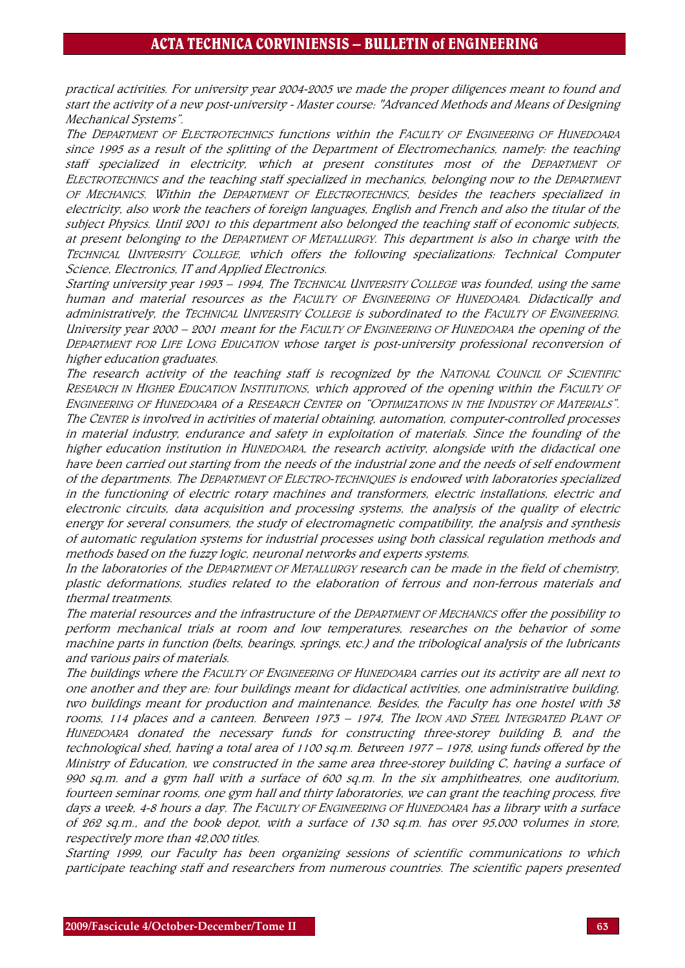practical activities. For university year 2004-2005 we made the proper diligences meant to found and start the activity of a new post-university - Master course: "Advanced Methods and Means of Designing Mechanical Systems".

The DEPARTMENT OF ELECTROTECHNICS functions within the FACULTY OF ENGINEERING OF HUNEDOARA since 1995 as a result of the splitting of the Department of Electromechanics, namely: the teaching staff specialized in electricity, which at present constitutes most of the DEPARTMENT OF ELECTROTECHNICS and the teaching staff specialized in mechanics, belonging now to the DEPARTMENT OF MECHANICS. Within the DEPARTMENT OF ELECTROTECHNICS, besides the teachers specialized in electricity, also work the teachers of foreign languages, English and French and also the titular of the subject Physics. Until 2001 to this department also belonged the teaching staff of economic subjects, at present belonging to the DEPARTMENT OF METALLURGY. This department is also in charge with the TECHNICAL UNIVERSITY COLLEGE, which offers the following specializations: Technical Computer Science, Electronics, IT and Applied Electronics.

Starting university year 1993 – 1994, The TECHNICAL UNIVERSITY COLLEGE was founded, using the same human and material resources as the FACULTY OF ENGINEERING OF HUNEDOARA. Didactically and administratively, the TECHNICAL UNIVERSITY COLLEGE is subordinated to the FACULTY OF ENGINEERING. University year 2000 – 2001 meant for the FACULTY OF ENGINEERING OF HUNEDOARA the opening of the DEPARTMENT FOR LIFE LONG EDUCATION whose target is post-university professional reconversion of higher education graduates.

The research activity of the teaching staff is recognized by the NATIONAL COUNCIL OF SCIENTIFIC RESEARCH IN HIGHER EDUCATION INSTITUTIONS, which approved of the opening within the FACULTY OF ENGINEERING OF HUNEDOARA of a RESEARCH CENTER on "OPTIMIZATIONS IN THE INDUSTRY OF MATERIALS". The CENTER is involved in activities of material obtaining, automation, computer-controlled processes in material industry, endurance and safety in exploitation of materials. Since the founding of the higher education institution in HUNEDOARA, the research activity, alongside with the didactical one have been carried out starting from the needs of the industrial zone and the needs of self endowment of the departments. The DEPARTMENT OF ELECTRO-TECHNIQUES is endowed with laboratories specialized in the functioning of electric rotary machines and transformers, electric installations, electric and electronic circuits, data acquisition and processing systems, the analysis of the quality of electric energy for several consumers, the study of electromagnetic compatibility, the analysis and synthesis of automatic regulation systems for industrial processes using both classical regulation methods and methods based on the fuzzy logic, neuronal networks and experts systems.

In the laboratories of the DEPARTMENT OF METALLURGY research can be made in the field of chemistry, plastic deformations, studies related to the elaboration of ferrous and non-ferrous materials and thermal treatments.

The material resources and the infrastructure of the DEPARTMENT OF MECHANICS offer the possibility to perform mechanical trials at room and low temperatures, researches on the behavior of some machine parts in function (belts, bearings, springs, etc.) and the tribological analysis of the lubricants and various pairs of materials.

The buildings where the FACULTY OF ENGINEERING OF HUNEDOARA carries out its activity are all next to one another and they are: four buildings meant for didactical activities, one administrative building, two buildings meant for production and maintenance. Besides, the Faculty has one hostel with 38 rooms, 114 places and a canteen. Between 1973 – 1974, The IRON AND STEEL INTEGRATED PLANT OF HUNEDOARA donated the necessary funds for constructing three-storey building B, and the technological shed, having a total area of 1100 sq.m. Between 1977 – 1978, using funds offered by the Ministry of Education, we constructed in the same area three-storey building  $C$ , having a surface of 990 sq.m. and a gym hall with a surface of 600 sq.m. In the six amphitheatres, one auditorium, fourteen seminar rooms, one gym hall and thirty laboratories, we can grant the teaching process, five days a week, 4-8 hours a day. The FACULTY OF ENGINEERING OF HUNEDOARA has a library with a surface of 262 sq.m., and the book depot, with a surface of 130 sq.m. has over 95,000 volumes in store, respectively more than 42,000 titles.

Starting 1999, our Faculty has been organizing sessions of scientific communications to which participate teaching staff and researchers from numerous countries. The scientific papers presented